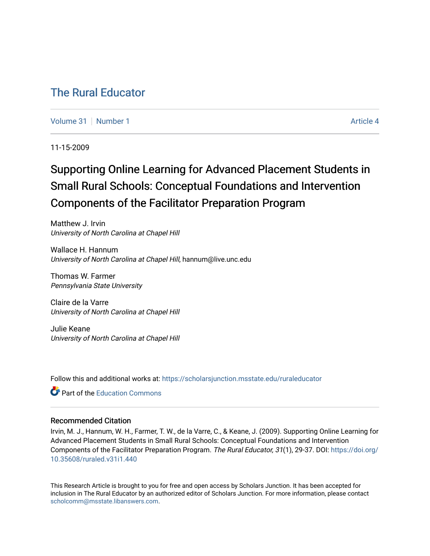# [The Rural Educator](https://scholarsjunction.msstate.edu/ruraleducator)

[Volume 31](https://scholarsjunction.msstate.edu/ruraleducator/vol31) | [Number 1](https://scholarsjunction.msstate.edu/ruraleducator/vol31/iss1) Article 4

11-15-2009

# Supporting Online Learning for Advanced Placement Students in Small Rural Schools: Conceptual Foundations and Intervention Components of the Facilitator Preparation Program

Matthew J. Irvin University of North Carolina at Chapel Hill

Wallace H. Hannum University of North Carolina at Chapel Hill, hannum@live.unc.edu

Thomas W. Farmer Pennsylvania State University

Claire de la Varre University of North Carolina at Chapel Hill

Julie Keane University of North Carolina at Chapel Hill

Follow this and additional works at: [https://scholarsjunction.msstate.edu/ruraleducator](https://scholarsjunction.msstate.edu/ruraleducator?utm_source=scholarsjunction.msstate.edu%2Fruraleducator%2Fvol31%2Fiss1%2F4&utm_medium=PDF&utm_campaign=PDFCoverPages)

**C** Part of the [Education Commons](http://network.bepress.com/hgg/discipline/784?utm_source=scholarsjunction.msstate.edu%2Fruraleducator%2Fvol31%2Fiss1%2F4&utm_medium=PDF&utm_campaign=PDFCoverPages)

# Recommended Citation

Irvin, M. J., Hannum, W. H., Farmer, T. W., de la Varre, C., & Keane, J. (2009). Supporting Online Learning for Advanced Placement Students in Small Rural Schools: Conceptual Foundations and Intervention Components of the Facilitator Preparation Program. The Rural Educator, 31(1), 29-37. DOI: [https://doi.org/](https://doi.org/10.35608/ruraled.v31i1.440) [10.35608/ruraled.v31i1.440](https://doi.org/10.35608/ruraled.v31i1.440)

This Research Article is brought to you for free and open access by Scholars Junction. It has been accepted for inclusion in The Rural Educator by an authorized editor of Scholars Junction. For more information, please contact [scholcomm@msstate.libanswers.com.](mailto:scholcomm@msstate.libanswers.com)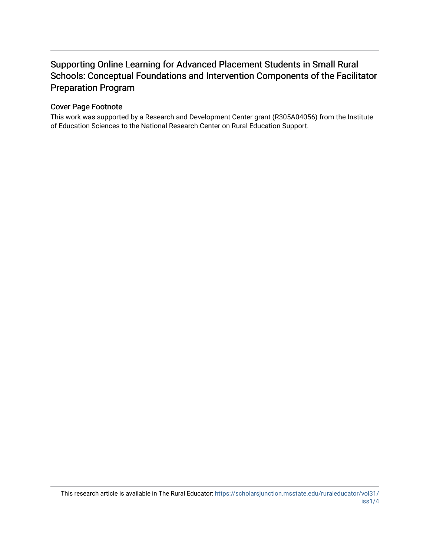# Supporting Online Learning for Advanced Placement Students in Small Rural Schools: Conceptual Foundations and Intervention Components of the Facilitator Preparation Program

# Cover Page Footnote

This work was supported by a Research and Development Center grant (R305A04056) from the Institute of Education Sciences to the National Research Center on Rural Education Support.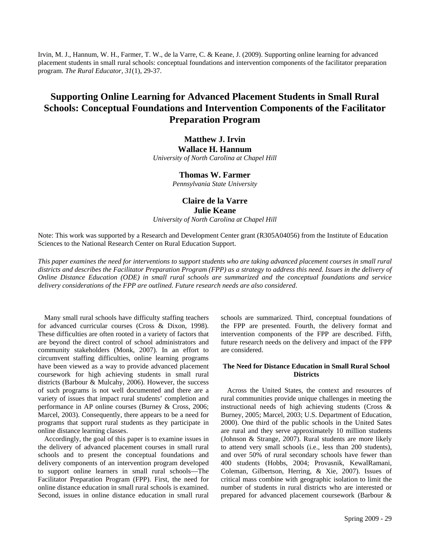Irvin, M. J., Hannum, W. H., Farmer, T. W., de la Varre, C. & Keane, J. (2009). Supporting online learning for advanced placement students in small rural schools: conceptual foundations and intervention components of the facilitator preparation program. *The Rural Educator, 31*(1), 29-37.

# **Supporting Online Learning for Advanced Placement Students in Small Rural Schools: Conceptual Foundations and Intervention Components of the Facilitator Preparation Program**

# **Matthew J. Irvin Wallace H. Hannum**

*University of North Carolina at Chapel Hill* 

# **Thomas W. Farmer**

*Pennsylvania State University* 

# **Claire de la Varre Julie Keane**

*University of North Carolina at Chapel Hill* 

Note: This work was supported by a Research and Development Center grant (R305A04056) from the Institute of Education Sciences to the National Research Center on Rural Education Support.

*This paper examines the need for interventions to support students who are taking advanced placement courses in small rural districts and describes the Facilitator Preparation Program (FPP) as a strategy to address this need. Issues in the delivery of Online Distance Education (ODE) in small rural schools are summarized and the conceptual foundations and service delivery considerations of the FPP are outlined. Future research needs are also considered*.

Many small rural schools have difficulty staffing teachers for advanced curricular courses (Cross & Dixon, 1998). These difficulties are often rooted in a variety of factors that are beyond the direct control of school administrators and community stakeholders (Monk, 2007). In an effort to circumvent staffing difficulties, online learning programs have been viewed as a way to provide advanced placement coursework for high achieving students in small rural districts (Barbour & Mulcahy, 2006). However, the success of such programs is not well documented and there are a variety of issues that impact rural students' completion and performance in AP online courses (Burney & Cross, 2006; Marcel, 2003). Consequently, there appears to be a need for programs that support rural students as they participate in online distance learning classes.

Accordingly, the goal of this paper is to examine issues in the delivery of advanced placement courses in small rural schools and to present the conceptual foundations and delivery components of an intervention program developed to support online learners in small rural schools—The Facilitator Preparation Program (FPP). First, the need for online distance education in small rural schools is examined. Second, issues in online distance education in small rural

schools are summarized. Third, conceptual foundations of the FPP are presented. Fourth, the delivery format and intervention components of the FPP are described. Fifth, future research needs on the delivery and impact of the FPP are considered.

# **The Need for Distance Education in Small Rural School Districts**

Across the United States, the context and resources of rural communities provide unique challenges in meeting the instructional needs of high achieving students (Cross & Burney, 2005; Marcel, 2003; U.S. Department of Education, 2000). One third of the public schools in the United Sates are rural and they serve approximately 10 million students (Johnson & Strange, 2007). Rural students are more likely to attend very small schools (i.e., less than 200 students), and over 50% of rural secondary schools have fewer than 400 students (Hobbs, 2004; Provasnik, KewalRamani, Coleman, Gilbertson, Herring, & Xie, 2007). Issues of critical mass combine with geographic isolation to limit the number of students in rural districts who are interested or prepared for advanced placement coursework (Barbour &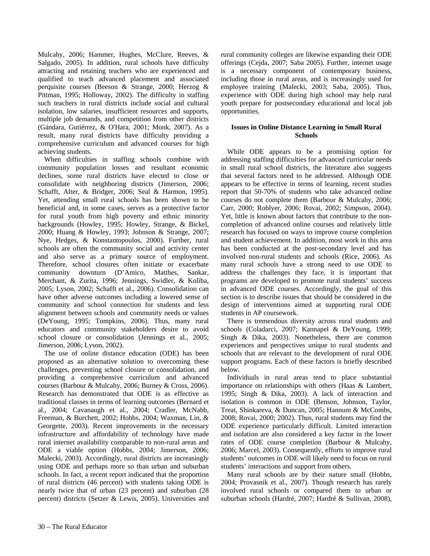Mulcahy, 2006; Hammer, Hughes, McClure, Reeves, & Salgado, 2005). In addition, rural schools have difficulty attracting and retaining teachers who are experienced and qualified to teach advanced placement and associated perquisite courses (Beeson & Strange, 2000; Herzog & Pittman, 1995; Holloway, 2002). The difficulty in staffing such teachers in rural districts include social and cultural isolation, low salaries, insufficient resources and supports, multiple job demands, and competition from other districts (Gándara, Gutiérrez, & O'Hara, 2001; Monk, 2007). As a result, many rural districts have difficulty providing a comprehensive curriculum and advanced courses for high achieving students.

When difficulties in staffing schools combine with community population losses and resultant economic declines, some rural districts have elected to close or consolidate with neighboring districts (Jimerson, 2006; Schafft, Alter, & Bridger, 2006; Seal & Harmon, 1995). Yet, attending small rural schools has been shown to be beneficial and, in some cases, serves as a protective factor for rural youth from high poverty and ethnic minority backgrounds (Howley, 1995; Howley, Strange, & Bickel, 2000; Huang & Howley, 1993; Johnson & Strange, 2007; Nye, Hedges, & Konstantopoulos, 2000). Further, rural schools are often the community social and activity center and also serve as a primary source of employment. Therefore, school closures often initiate or exacerbate community downturn (D'Amico, Matthes, Sankar, Merchant, & Zurita, 1996; Jennings, Swidler, & Koliba, 2005; Lyson, 2002; Schafft et al., 2006). Consolidation can have other adverse outcomes including a lowered sense of community and school connection for students and less alignment between schools and community needs or values (DeYoung, 1995; Tompkins, 2006). Thus, many rural educators and community stakeholders desire to avoid school closure or consolidation (Jennings et al., 2005; Jimerson, 2006; Lyson, 2002).

The use of online distance education (ODE) has been proposed as an alternative solution to overcoming these challenges, preventing school closure or consolidation, and providing a comprehensive curriculum and advanced courses (Barbour & Mulcahy, 2006; Burney & Cross, 2006). Research has demonstrated that ODE is as effective as traditional classes in terms of learning outcomes (Bernard et al., 2004; Cavanaugh et al., 2004; Cradler, McNabb, Freeman, & Burchett, 2002; Hobbs, 2004; Waxman, Lin, & Georgette, 2003). Recent improvements in the necessary infrastructure and affordability of technology have made rural internet availability comparable to non-rural areas and ODE a viable option (Hobbs, 2004; Jimerson, 2006; Malecki, 2003). Accordingly, rural districts are increasingly using ODE and perhaps more so than urban and suburban schools. In fact, a recent report indicated that the proportion of rural districts (46 percent) with students taking ODE is nearly twice that of urban (23 percent) and suburban (28 percent) districts (Setzer & Lewis, 2005). Universities and rural community colleges are likewise expanding their ODE offerings (Cejda, 2007; Saba 2005). Further, internet usage is a necessary component of contemporary business, including those in rural areas, and is increasingly used for employee training (Malecki, 2003; Saba, 2005). Thus, experience with ODE during high school may help rural youth prepare for postsecondary educational and local job opportunities.

# **Issues in Online Distance Learning in Small Rural Schools**

While ODE appears to be a promising option for addressing staffing difficulties for advanced curricular needs in small rural school districts, the literature also suggests that several factors need to be addressed. Although ODE appears to be effective in terms of learning, recent studies report that 50-70% of students who take advanced online courses do not complete them (Barbour & Mulcahy, 2006; Carr, 2000; Roblyer, 2006; Rovai, 2002; Simpson, 2004). Yet, little is known about factors that contribute to the noncompletion of advanced online courses and relatively little research has focused on ways to improve course completion and student achievement. In addition, most work in this area has been conducted at the post-secondary level and has involved non-rural students and schools (Rice, 2006). As many rural schools have a strong need to use ODE to address the challenges they face, it is important that programs are developed to promote rural students' success in advanced ODE courses. Accordingly, the goal of this section is to describe issues that should be considered in the design of interventions aimed at supporting rural ODE students in AP coursework.

There is tremendous diversity across rural students and schools (Coladarci, 2007; Kannapel & DeYoung, 1999; Singh & Dika, 2003). Nonetheless, there are common experiences and perspectives unique to rural students and schools that are relevant to the development of rural ODE support programs. Each of these factors is briefly described below.

Individuals in rural areas tend to place substantial importance on relationships with others (Haas & Lambert, 1995; Singh & Dika, 2003). A lack of interaction and isolation is common in ODE (Benson, Johnson, Taylor, Treat, Shinkareva, & Duncan, 2005; Hannum & McCombs, 2008; Rovai, 2000; 2002). Thus, rural students may find the ODE experience particularly difficult. Limited interaction and isolation are also considered a key factor in the lower rates of ODE course completion (Barbour & Mulcahy, 2006; Marcel, 2003). Consequently, efforts to improve rural students' outcomes in ODE will likely need to focus on rural students' interactions and support from others.

Many rural schools are by their nature small (Hobbs, 2004; Provasnik et al., 2007). Though research has rarely involved rural schools or compared them to urban or suburban schools (Hardré, 2007; Hardré & Sullivan, 2008),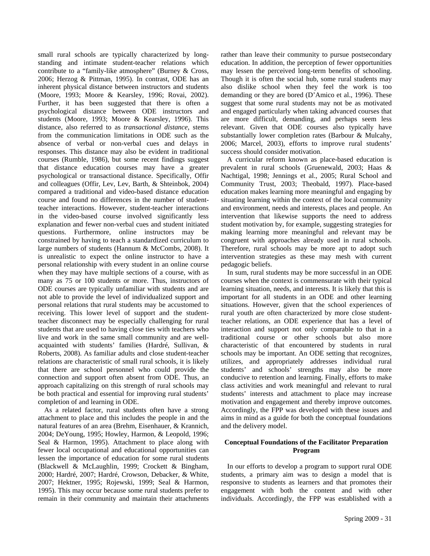small rural schools are typically characterized by longstanding and intimate student-teacher relations which contribute to a "family-like atmosphere" (Burney & Cross, 2006; Herzog & Pittman, 1995). In contrast, ODE has an inherent physical distance between instructors and students (Moore, 1993; Moore & Kearsley, 1996; Rovai, 2002). Further, it has been suggested that there is often a psychological distance between ODE instructors and students (Moore, 1993; Moore & Kearsley, 1996). This distance, also referred to as *transactional distance*, stems from the communication limitations in ODE such as the absence of verbal or non-verbal cues and delays in responses. This distance may also be evident in traditional courses (Rumble, 1986), but some recent findings suggest that distance education courses may have a greater psychological or transactional distance. Specifically, Offir and colleagues (Offir, Lev, Lev, Barth, & Shteinbok, 2004) compared a traditional and video-based distance education course and found no differences in the number of studentteacher interactions. However, student-teacher interactions in the video-based course involved significantly less explanation and fewer non-verbal cues and student initiated questions. Furthermore, online instructors may be constrained by having to teach a standardized curriculum to large numbers of students (Hannum & McCombs, 2008). It is unrealistic to expect the online instructor to have a personal relationship with every student in an online course when they may have multiple sections of a course, with as many as 75 or 100 students or more. Thus, instructors of ODE courses are typically unfamiliar with students and are not able to provide the level of individualized support and personal relations that rural students may be accustomed to receiving. This lower level of support and the studentteacher disconnect may be especially challenging for rural students that are used to having close ties with teachers who live and work in the same small community and are wellacquainted with students' families (Hardré, Sullivan, & Roberts, 2008). As familiar adults and close student-teacher relations are characteristic of small rural schools, it is likely that there are school personnel who could provide the connection and support often absent from ODE. Thus, an approach capitalizing on this strength of rural schools may be both practical and essential for improving rural students' completion of and learning in ODE.

As a related factor, rural students often have a strong attachment to place and this includes the people in and the natural features of an area (Brehm, Eisenhauer, & Krannich, 2004; DeYoung, 1995; Howley, Harmon, & Leopold, 1996; Seal & Harmon, 1995). Attachment to place along with fewer local occupational and educational opportunities can lessen the importance of education for some rural students (Blackwell & McLaughlin, 1999; Crockett & Bingham, 2000; Hardré, 2007; Hardré, Crowson, Debacker, & White, 2007; Hektner, 1995; Rojewski, 1999; Seal & Harmon, 1995). This may occur because some rural students prefer to remain in their community and maintain their attachments

rather than leave their community to pursue postsecondary education. In addition, the perception of fewer opportunities may lessen the perceived long-term benefits of schooling. Though it is often the social hub, some rural students may also dislike school when they feel the work is too demanding or they are bored (D'Amico et al., 1996). These suggest that some rural students may not be as motivated and engaged particularly when taking advanced courses that are more difficult, demanding, and perhaps seem less relevant. Given that ODE courses also typically have substantially lower completion rates (Barbour & Mulcahy, 2006; Marcel, 2003), efforts to improve rural students' success should consider motivation.

A curricular reform known as place-based education is prevalent in rural schools (Gruenewald, 2003; Haas & Nachtigal, 1998; Jennings et al., 2005; Rural School and Community Trust, 2003; Theobald, 1997). Place-based education makes learning more meaningful and engaging by situating learning within the context of the local community and environment, needs and interests, places and people. An intervention that likewise supports the need to address student motivation by, for example, suggesting strategies for making learning more meaningful and relevant may be congruent with approaches already used in rural schools. Therefore, rural schools may be more apt to adopt such intervention strategies as these may mesh with current pedagogic beliefs.

In sum, rural students may be more successful in an ODE courses when the context is commensurate with their typical learning situation, needs, and interests. It is likely that this is important for all students in an ODE and other learning situations. However, given that the school experiences of rural youth are often characterized by more close studentteacher relations, an ODE experience that has a level of interaction and support not only comparable to that in a traditional course or other schools but also more characteristic of that encountered by students in rural schools may be important. An ODE setting that recognizes, utilizes, and appropriately addresses individual rural students' and schools' strengths may also be more conducive to retention and learning. Finally, efforts to make class activities and work meaningful and relevant to rural students' interests and attachment to place may increase motivation and engagement and thereby improve outcomes. Accordingly, the FPP was developed with these issues and aims in mind as a guide for both the conceptual foundations and the delivery model.

# **Conceptual Foundations of the Facilitator Preparation Program**

In our efforts to develop a program to support rural ODE students, a primary aim was to design a model that is responsive to students as learners and that promotes their engagement with both the content and with other individuals. Accordingly, the FPP was established with a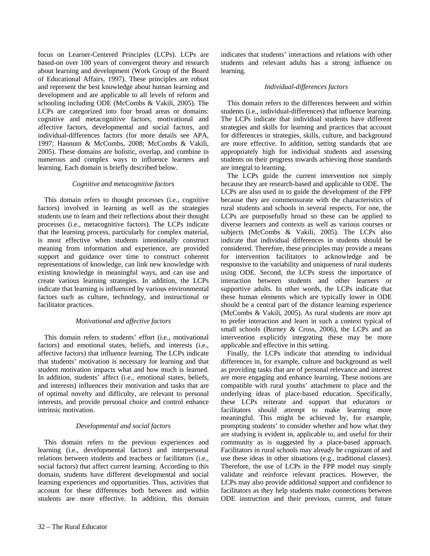focus on Learner-Centered Principles (LCPs). LCPs are based-on over 100 years of convergent theory and research about learning and development (Work Group of the Board of Educational Affairs, 1997). These principles are robust and represent the best knowledge about human learning and development and are applicable to all levels of reform and schooling including ODE (McCombs & Vakili, 2005). The LCPs are categorized into four broad areas or domains: cognitive and metacognitive factors, motivational and affective factors, developmental and social factors, and individual-differences factors (for more details see APA, 1997; Hannum & McCombs, 2008; McCombs & Vakili, 2005). These domains are holistic, overlap, and combine in numerous and complex ways to influence learners and learning. Each domain is briefly described below.

#### *Cognitive and metacognitive factors*

This domain refers to thought processes (i.e., cognitive factors) involved in learning as well as the strategies students use to learn and their reflections about their thought processes (i.e., metacognitive factors). The LCPs indicate that the learning process, particularly for complex material, is most effective when students intentionally construct meaning from information and experience, are provided support and guidance over time to construct coherent representations of knowledge, can link new knowledge with existing knowledge in meaningful ways, and can use and create various learning strategies. In addition, the LCPs indicate that learning is influenced by various environmental factors such as culture, technology, and instructional or facilitator practices.

#### *Motivational and affective factors*

This domain refers to students' effort (i.e., motivational factors) and emotional states, beliefs, and interests (i.e., affective factors) that influence learning. The LCPs indicate that students' motivation is necessary for learning and that student motivation impacts what and how much is learned. In addition, students' affect (i.e., emotional states, beliefs, and interests) influences their motivation and tasks that are of optimal novelty and difficulty, are relevant to personal interests, and provide personal choice and control enhance intrinsic motivation.

#### *Developmental and social factors*

This domain refers to the previous experiences and learning (i.e., developmental factors) and interpersonal relations between students and teachers or facilitators (i.e., social factors) that affect current learning. According to this domain, students have different developmental and social learning experiences and opportunities. Thus, activities that account for these differences both between and within students are more effective. In addition, this domain indicates that students' interactions and relations with other students and relevant adults has a strong influence on learning.

#### *Individual-differences factors*

This domain refers to the differences between and within students (i.e., individual-differences) that influence learning. The LCPs indicate that individual students have different strategies and skills for learning and practices that account for differences in strategies, skills, culture, and background are more effective. In addition, setting standards that are appropriately high for individual students and assessing students on their progress towards achieving those standards are integral to learning.

The LCPs guide the current intervention not simply because they are research-based and applicable to ODE. The LCPs are also used in to guide the development of the FPP because they are commensurate with the characteristics of rural students and schools in several respects. For one, the LCPs are purposefully broad so these can be applied to diverse learners and contexts as well as various courses or subjects (McCombs & Vakili, 2005). The LCPs also indicate that individual differences in students should be considered. Therefore, these principles may provide a means for intervention facilitators to acknowledge and be responsive to the variability and uniqueness of rural students using ODE. Second, the LCPs stress the importance of interaction between students and other learners or supportive adults. In other words, the LCPs indicate that these human elements which are typically lower in ODE should be a central part of the distance learning experience (McCombs & Vakili, 2005). As rural students are more apt to prefer interaction and learn in such a context typical of small schools (Burney & Cross, 2006), the LCPs and an intervention explicitly integrating these may be more applicable and effective in this setting.

Finally, the LCPs indicate that attending to individual differences in, for example, culture and background as well as providing tasks that are of personal relevance and interest are more engaging and enhance learning. These notions are compatible with rural youths' attachment to place and the underlying ideas of place-based education. Specifically, these LCPs reiterate and support that educators or facilitators should attempt to make learning more meaningful. This might be achieved by, for example, prompting students' to consider whether and how what they are studying is evident in, applicable to, and useful for their community as is suggested by a place-based approach. Facilitators in rural schools may already be cognizant of and use these ideas in other situations (e.g., traditional classes). Therefore, the use of LCPs in the FPP model may simply validate and reinforce relevant practices. However, the LCPs may also provide additional support and confidence to facilitators as they help students make connections between ODE instruction and their previous, current, and future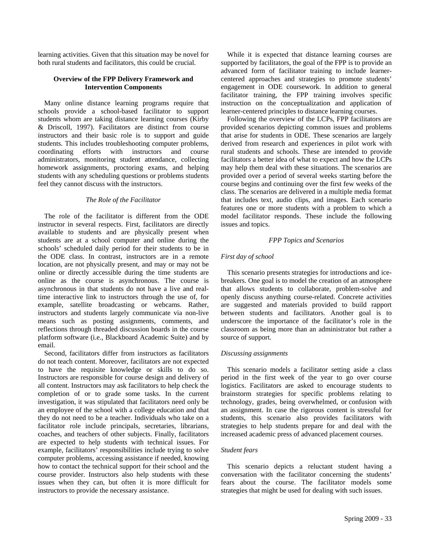learning activities. Given that this situation may be novel for both rural students and facilitators, this could be crucial.

## **Overview of the FPP Delivery Framework and Intervention Components**

Many online distance learning programs require that schools provide a school-based facilitator to support students whom are taking distance learning courses (Kirby & Driscoll, 1997). Facilitators are distinct from course instructors and their basic role is to support and guide students. This includes troubleshooting computer problems, coordinating efforts with instructors and course administrators, monitoring student attendance, collecting homework assignments, proctoring exams, and helping students with any scheduling questions or problems students feel they cannot discuss with the instructors.

## *The Role of the Facilitator*

The role of the facilitator is different from the ODE instructor in several respects. First, facilitators are directly available to students and are physically present when students are at a school computer and online during the schools' scheduled daily period for their students to be in the ODE class. In contrast, instructors are in a remote location, are not physically present, and may or may not be online or directly accessible during the time students are online as the course is asynchronous. The course is asynchronous in that students do not have a live and realtime interactive link to instructors through the use of, for example, satellite broadcasting or webcams. Rather, instructors and students largely communicate via non-live means such as posting assignments, comments, and reflections through threaded discussion boards in the course platform software (i.e., Blackboard Academic Suite) and by email.

Second, facilitators differ from instructors as facilitators do not teach content. Moreover, facilitators are not expected to have the requisite knowledge or skills to do so. Instructors are responsible for course design and delivery of all content. Instructors may ask facilitators to help check the completion of or to grade some tasks. In the current investigation, it was stipulated that facilitators need only be an employee of the school with a college education and that they do not need to be a teacher. Individuals who take on a facilitator role include principals, secretaries, librarians, coaches, and teachers of other subjects. Finally, facilitators are expected to help students with technical issues. For example, facilitators' responsibilities include trying to solve computer problems, accessing assistance if needed, knowing how to contact the technical support for their school and the course provider. Instructors also help students with these issues when they can, but often it is more difficult for instructors to provide the necessary assistance.

While it is expected that distance learning courses are supported by facilitators, the goal of the FPP is to provide an advanced form of facilitator training to include learnercentered approaches and strategies to promote students' engagement in ODE coursework. In addition to general facilitator training, the FPP training involves specific instruction on the conceptualization and application of learner-centered principles to distance learning courses.

Following the overview of the LCPs, FPP facilitators are provided scenarios depicting common issues and problems that arise for students in ODE. These scenarios are largely derived from research and experiences in pilot work with rural students and schools. These are intended to provide facilitators a better idea of what to expect and how the LCPs may help them deal with these situations. The scenarios are provided over a period of several weeks starting before the course begins and continuing over the first few weeks of the class. The scenarios are delivered in a multiple media format that includes text, audio clips, and images. Each scenario features one or more students with a problem to which a model facilitator responds. These include the following issues and topics.

## *FPP Topics and Scenarios*

# *First day of school*

This scenario presents strategies for introductions and icebreakers. One goal is to model the creation of an atmosphere that allows students to collaborate, problem-solve and openly discuss anything course-related. Concrete activities are suggested and materials provided to build rapport between students and facilitators. Another goal is to underscore the importance of the facilitator's role in the classroom as being more than an administrator but rather a source of support.

#### *Discussing assignments*

This scenario models a facilitator setting aside a class period in the first week of the year to go over course logistics. Facilitators are asked to encourage students to brainstorm strategies for specific problems relating to technology, grades, being overwhelmed, or confusion with an assignment. In case the rigorous content is stressful for students, this scenario also provides facilitators with strategies to help students prepare for and deal with the increased academic press of advanced placement courses.

#### *Student fears*

This scenario depicts a reluctant student having a conversation with the facilitator concerning the students' fears about the course. The facilitator models some strategies that might be used for dealing with such issues.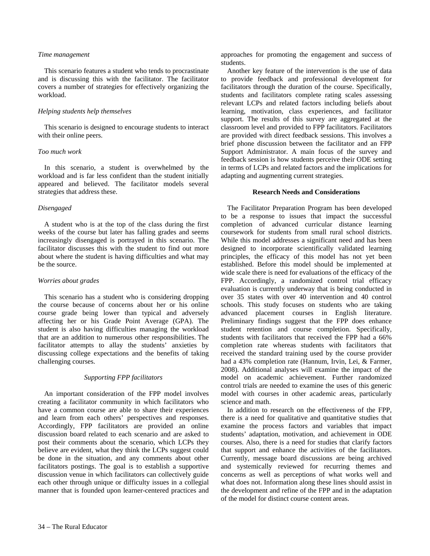#### *Time management*

This scenario features a student who tends to procrastinate and is discussing this with the facilitator. The facilitator covers a number of strategies for effectively organizing the workload.

# *Helping students help themselves*

This scenario is designed to encourage students to interact with their online peers.

#### *Too much work*

In this scenario, a student is overwhelmed by the workload and is far less confident than the student initially appeared and believed. The facilitator models several strategies that address these.

#### *Disengaged*

A student who is at the top of the class during the first weeks of the course but later has falling grades and seems increasingly disengaged is portrayed in this scenario. The facilitator discusses this with the student to find out more about where the student is having difficulties and what may be the source.

#### *Worries about grades*

This scenario has a student who is considering dropping the course because of concerns about her or his online course grade being lower than typical and adversely affecting her or his Grade Point Average (GPA). The student is also having difficulties managing the workload that are an addition to numerous other responsibilities. The facilitator attempts to allay the students' anxieties by discussing college expectations and the benefits of taking challenging courses.

#### *Supporting FPP facilitators*

An important consideration of the FPP model involves creating a facilitator community in which facilitators who have a common course are able to share their experiences and learn from each others' perspectives and responses. Accordingly, FPP facilitators are provided an online discussion board related to each scenario and are asked to post their comments about the scenario, which LCPs they believe are evident, what they think the LCPs suggest could be done in the situation, and any comments about other facilitators postings. The goal is to establish a supportive discussion venue in which facilitators can collectively guide each other through unique or difficulty issues in a collegial manner that is founded upon learner-centered practices and

approaches for promoting the engagement and success of students.

Another key feature of the intervention is the use of data to provide feedback and professional development for facilitators through the duration of the course. Specifically, students and facilitators complete rating scales assessing relevant LCPs and related factors including beliefs about learning, motivation, class experiences, and facilitator support. The results of this survey are aggregated at the classroom level and provided to FPP facilitators. Facilitators are provided with direct feedback sessions. This involves a brief phone discussion between the facilitator and an FPP Support Administrator. A main focus of the survey and feedback session is how students perceive their ODE setting in terms of LCPs and related factors and the implications for adapting and augmenting current strategies.

#### **Research Needs and Considerations**

The Facilitator Preparation Program has been developed to be a response to issues that impact the successful completion of advanced curricular distance learning coursework for students from small rural school districts. While this model addresses a significant need and has been designed to incorporate scientifically validated learning principles, the efficacy of this model has not yet been established. Before this model should be implemented at wide scale there is need for evaluations of the efficacy of the FPP. Accordingly, a randomized control trial efficacy evaluation is currently underway that is being conducted in over 35 states with over 40 intervention and 40 control schools. This study focuses on students who are taking advanced placement courses in English literature. Preliminary findings suggest that the FPP does enhance student retention and course completion. Specifically, students with facilitators that received the FPP had a 66% completion rate whereas students with facilitators that received the standard training used by the course provider had a 43% completion rate (Hannum, Irvin, Lei, & Farmer, 2008). Additional analyses will examine the impact of the model on academic achievement. Further randomized control trials are needed to examine the uses of this generic model with courses in other academic areas, particularly science and math.

In addition to research on the effectiveness of the FPP, there is a need for qualitative and quantitative studies that examine the process factors and variables that impact students' adaptation, motivation, and achievement in ODE courses. Also, there is a need for studies that clarify factors that support and enhance the activities of the facilitators. Currently, message board discussions are being archived and systemically reviewed for recurring themes and concerns as well as perceptions of what works well and what does not. Information along these lines should assist in the development and refine of the FPP and in the adaptation of the model for distinct course content areas.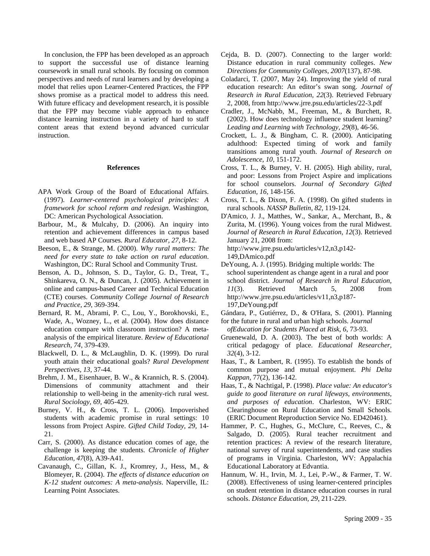In conclusion, the FPP has been developed as an approach to support the successful use of distance learning coursework in small rural schools. By focusing on common perspectives and needs of rural learners and by developing a model that relies upon Learner-Centered Practices, the FPP shows promise as a practical model to address this need. With future efficacy and development research, it is possible that the FPP may become viable approach to enhance distance learning instruction in a variety of hard to staff content areas that extend beyond advanced curricular instruction.

#### **References**

- APA Work Group of the Board of Educational Affairs. (1997). *Learner-centered psychological principles: A framework for school reform and redesign*. Washington, DC: American Psychological Association.
- Barbour, M., & Mulcahy, D. (2006). An inquiry into retention and achievement differences in campus based and web based AP Courses. *Rural Educator, 27*, 8-12.
- Beeson, E., & Strange, M. (2000). *Why rural matters: The need for every state to take action on rural education*. Washington, DC: Rural School and Community Trust.
- Benson, A. D., Johnson, S. D., Taylor, G. D., Treat, T., Shinkareva, O. N., & Duncan, J. (2005). Achievement in online and campus-based Career and Technical Education (CTE) courses. *Community College Journal of Research and Practice, 29*, 369-394.
- Bernard, R. M., Abrami, P. C., Lou, Y., Borokhovski, E., Wade, A., Wozney, L., et al. (2004). How does distance education compare with classroom instruction? A metaanalysis of the empirical literature. *Review of Educational Research, 74*, 379-439.
- Blackwell, D. L., & McLaughlin, D. K. (1999). Do rural youth attain their educational goals? *Rural Development Perspectives, 13*, 37-44.
- Brehm, J. M., Eisenhauer, B. W., & Krannich, R. S. (2004). Dimensions of community attachment and their relationship to well-being in the amenity-rich rural west. *Rural Sociology, 69*, 405-429.
- Burney, V. H., & Cross, T. L. (2006). Impoverished students with academic promise in rural settings: 10 lessons from Project Aspire. *Gifted Child Today, 29,* 14- 21.
- Carr, S. (2000). As distance education comes of age, the challenge is keeping the students. *Chronicle of Higher Education, 47*(8), A39-A41.
- Cavanaugh, C., Gillan, K. J., Kromrey, J., Hess, M., & Blomeyer, R. (2004). *The effects of distance education on K-12 student outcomes: A meta-analysis*. Naperville, IL: Learning Point Associates.
- Cejda, B. D. (2007). Connecting to the larger world: Distance education in rural community colleges. *New Directions for Community Colleges, 2007*(137), 87-98.
- Coladarci, T. (2007, May 24). Improving the yield of rural education research: An editor's swan song. *Journal of Research in Rural Education, 22*(3). Retrieved February 2, 2008, from http://www.jrre.psu.edu/articles/22-3.pdf
- Cradler, J., McNabb, M., Freeman, M., & Burchett, R. (2002). How does technology influence student learning? *Leading and Learning with Technology, 29*(8), 46-56.
- Crockett, L. J., & Bingham, C. R. (2000). Anticipating adulthood: Expected timing of work and family transitions among rural youth. *Journal of Research on Adolescence*, *10*, 151-172.
- Cross, T. L., & Burney, V. H. (2005). High ability, rural, and poor: Lessons from Project Aspire and implications for school counselors. *Journal of Secondary Gifted Education, 16,* 148-156.
- Cross, T. L., & Dixon, F. A. (1998). On gifted students in rural schools. *NASSP Bulletin, 82*, 119-124.
- D'Amico, J. J., Matthes, W., Sankar, A., Merchant, B., & Zurita, M. (1996). Young voices from the rural Midwest. *Journal of Research in Rural Education*, *12*(3). Retrieved January 21, 2008 from: http://www.jrre.psu.edu/articles/v12,n3,p142- 149,DAmico.pdf
- DeYoung, A. J. (1995). Bridging multiple worlds: The school superintendent as change agent in a rural and poor school district. *Journal of Research in Rural Education*, *11*(3). Retrieved March 5, 2008 from http://www.jrre.psu.edu/articles/v11,n3,p187- 197,DeYoung.pdf
- Gándara, P., Gutiérrez, D., & O'Hara, S. (2001). Planning
- for the future in rural and urban high schools. *Journal ofEducation for Students Placed at Risk*, *6*, 73-93.
- Gruenewald, D. A. (2003). The best of both worlds: A critical pedagogy of place. *Educational Researcher, 32*(4), 3-12.
- Haas, T., & Lambert, R. (1995). To establish the bonds of common purpose and mutual enjoyment. *Phi Delta Kappan,* 77(2), 136-142.
- Haas, T., & Nachtigal, P. (1998). *Place value: An educator's guide to good literature on rural lifeways, environments, and purposes of education*. Charleston, WV: ERIC Clearinghouse on Rural Education and Small Schools. (ERIC Document Reproduction Service No. ED420461).
- Hammer, P. C., Hughes, G., McClure, C., Reeves, C., & Salgado, D. (2005). Rural teacher recruitment and retention practices: A review of the research literature, national survey of rural superintendents, and case studies of programs in Virginia. Charleston, WV: Appalachia Educational Laboratory at Edvantia.
- Hannum, W. H., Irvin, M. J., Lei, P.-W., & Farmer, T. W. (2008). Effectiveness of using learner-centered principles on student retention in distance education courses in rural schools. *Distance Education, 29*, 211-229.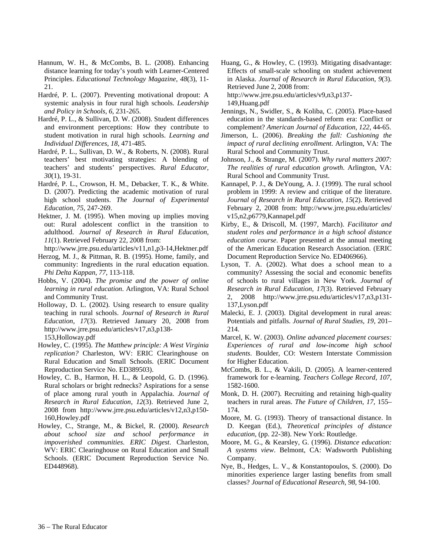- Hannum, W. H., & McCombs, B. L. (2008). Enhancing distance learning for today's youth with Learner-Centered Principles. *Educational Technology Magazine, 48*(3), 11- 21.
- Hardré, P. L. (2007). Preventing motivational dropout: A systemic analysis in four rural high schools. *Leadership and Policy in Schools, 6*, 231-265.
- Hardré, P. L., & Sullivan, D. W. (2008). Student differences and environment perceptions: How they contribute to student motivation in rural high schools. *Learning and Individual Differences, 18*, 471-485.
- Hardré, P. L., Sullivan, D. W., & Roberts, N. (2008). Rural teachers' best motivating strategies: A blending of teachers' and students' perspectives. *Rural Educator, 30*(1), 19-31.
- Hardré, P. L., Crowson, H. M., Debacker, T. K., & White. D. (2007). Predicting the academic motivation of rural high school students. *The Journal of Experimental Education, 75*, 247-269.
- Hektner, J. M. (1995). When moving up implies moving out: Rural adolescent conflict in the transition to adulthood. *Journal of Research in Rural Education*, *11*(1). Retrieved February 22, 2008 from:

http://www.jrre.psu.edu/articles/v11,n1,p3-14,Hektner.pdf

- Herzog, M. J., & Pittman, R. B. (1995). Home, family, and community: Ingredients in the rural education equation. *Phi Delta Kappan*, *77*, 113-118.
- Hobbs, V. (2004). *The promise and the power of online learning in rural education*. Arlington, VA: Rural School and Community Trust.
- Holloway, D. L. (2002). Using research to ensure quality teaching in rural schools. *Journal of Research in Rural Education*, *17*(3). Retrieved January 20, 2008 from http://www.jrre.psu.edu/articles/v17,n3,p138- 153,Holloway.pdf
- Howley, C. (1995). *The Matthew principle: A West Virginia replication?* Charleston, WV: ERIC Clearinghouse on Rural Education and Small Schools. (ERIC Document Reproduction Service No. ED389503).
- Howley, C. B., Harmon, H. L., & Leopold, G. D. (1996). Rural scholars or bright rednecks? Aspirations for a sense of place among rural youth in Appalachia. *Journal of Research in Rural Education*, *12*(3). Retrieved June 2, 2008 from http://www.jrre.psu.edu/articles/v12,n3,p150- 160,Howley.pdf
- Howley, C., Strange, M., & Bickel, R. (2000). *Research about school size and school performance in impoverished communities*. *ERIC Digest*. Charleston, WV: ERIC Clearinghouse on Rural Education and Small Schools. (ERIC Document Reproduction Service No. ED448968).

Huang, G., & Howley, C. (1993). Mitigating disadvantage: Effects of small-scale schooling on student achievement in Alaska. *Journal of Research in Rural Education*, *9*(3). Retrieved June 2, 2008 from:

http://www.jrre.psu.edu/articles/v9,n3,p137- 149,Huang.pdf

- Jennings, N., Swidler, S., & Koliba, C. (2005). Place-based education in the standards-based reform era: Conflict or complement? *American Journal of Education, 122*, 44-65.
- Jimerson, L. (2006). *Breaking the fall: Cushioning the impact of rural declining enrollment*. Arlington, VA: The Rural School and Community Trust.
- Johnson, J., & Strange, M. (2007). *Why rural matters 2007: The realities of rural education growth*. Arlington, VA: Rural School and Community Trust.
- Kannapel, P. J., & DeYoung, A. J. (1999). The rural school problem in 1999: A review and critique of the literature. *Journal of Research in Rural Education, 15*(2). Retrieved February 2, 2008 from: http://www.jrre.psu.edu/articles/ v15,n2,p6779,Kannapel.pdf
- Kirby, E., & Driscoll, M. (1997, March). *Facilitator and student roles and performance in a high school distance education course*. Paper presented at the annual meeting of the American Education Research Association. (ERIC Document Reproduction Service No. ED406966).
- Lyson, T. A. (2002). What does a school mean to a community? Assessing the social and economic benefits of schools to rural villages in New York. *Journal of Research in Rural Education, 17*(3). Retrieved February 2, 2008 http://www.jrre.psu.edu/articles/v17,n3,p131- 137,Lyson.pdf
- Malecki, E. J. (2003). Digital development in rural areas: Potentials and pitfalls. *Journal of Rural Studies, 19*, 201– 214.
- Marcel, K. W. (2003). *Online advanced placement courses: Experiences of rural and low-income high school students*. Boulder, CO: Western Interstate Commission for Higher Education.
- McCombs, B. L., & Vakili, D. (2005). A learner-centered framework for e-learning. *Teachers College Record, 107*, 1582-1600.
- Monk, D. H. (2007). Recruiting and retaining high-quality teachers in rural areas. *The Future of Children, 17,* 155– 174.
- Moore, M. G. (1993). Theory of transactional distance. In D. Keegan (Ed.), *Theoretical principles of distance education*, (pp. 22-38). New York: Routledge.
- Moore, M. G., & Kearsley, G. (1996). *Distance education: A systems view*. Belmont, CA: Wadsworth Publishing Company.
- Nye, B., Hedges, L. V., & Konstantopoulos, S. (2000). Do minorities experience larger lasting benefits from small classes? *Journal of Educational Research, 98*, 94-100.